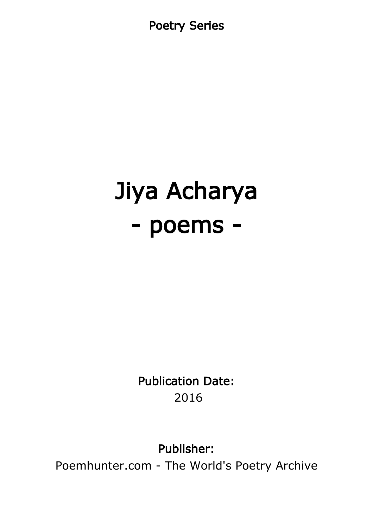Poetry Series

# Jiya Acharya - poems -

Publication Date: 2016

Publisher:

Poemhunter.com - The World's Poetry Archive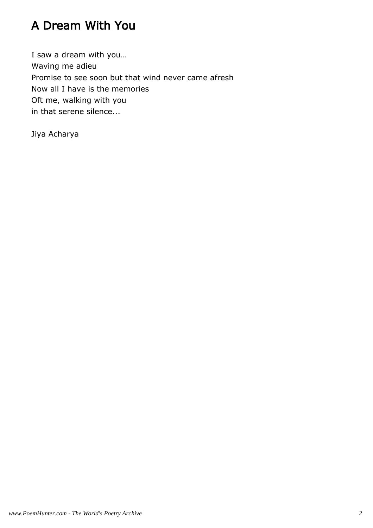## A Dream With You

I saw a dream with you… Waving me adieu Promise to see soon but that wind never came afresh Now all I have is the memories Oft me, walking with you in that serene silence...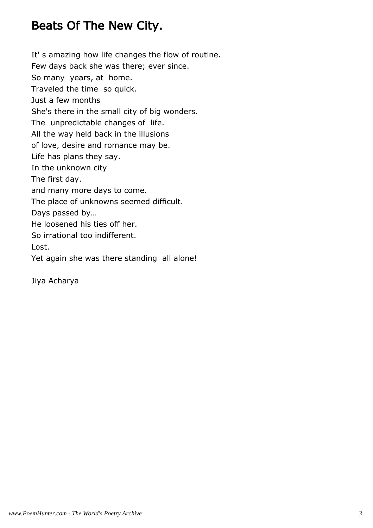#### Beats Of The New City.

It' s amazing how life changes the flow of routine. Few days back she was there; ever since. So many years, at home. Traveled the time so quick. Just a few months She's there in the small city of big wonders. The unpredictable changes of life. All the way held back in the illusions of love, desire and romance may be. Life has plans they say. In the unknown city The first day. and many more days to come. The place of unknowns seemed difficult. Days passed by… He loosened his ties off her. So irrational too indifferent. Lost. Yet again she was there standing all alone!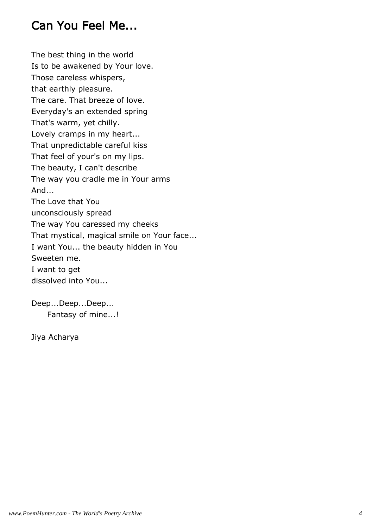#### Can You Feel Me...

The best thing in the world Is to be awakened by Your love. Those careless whispers, that earthly pleasure. The care. That breeze of love. Everyday's an extended spring That's warm, yet chilly. Lovely cramps in my heart... That unpredictable careful kiss That feel of your's on my lips. The beauty, I can't describe The way you cradle me in Your arms And... The Love that You unconsciously spread The way You caressed my cheeks That mystical, magical smile on Your face... I want You... the beauty hidden in You Sweeten me. I want to get dissolved into You...

Deep...Deep...Deep... Fantasy of mine...!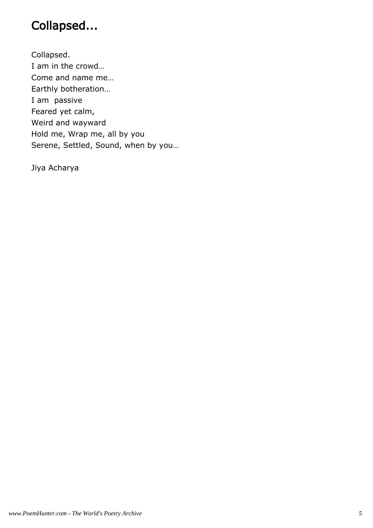# Collapsed...

Collapsed. I am in the crowd… Come and name me… Earthly botheration… I am passive Feared yet calm, Weird and wayward Hold me, Wrap me, all by you Serene, Settled, Sound, when by you…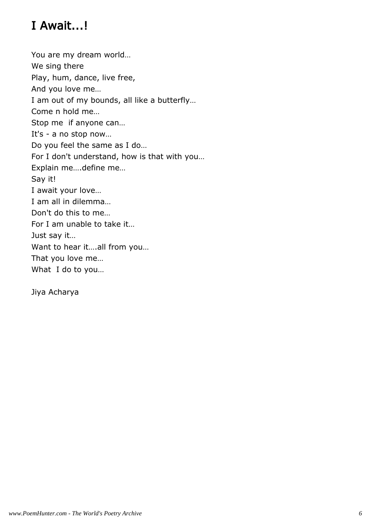# I Await...!

You are my dream world… We sing there Play, hum, dance, live free, And you love me… I am out of my bounds, all like a butterfly… Come n hold me… Stop me if anyone can… It's - a no stop now… Do you feel the same as I do… For I don't understand, how is that with you… Explain me….define me… Say it! I await your love… I am all in dilemma… Don't do this to me… For I am unable to take it… Just say it… Want to hear it….all from you… That you love me… What I do to you…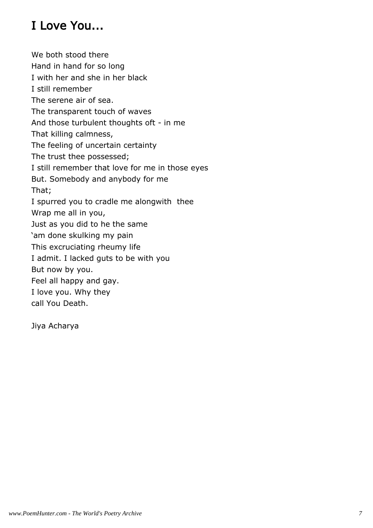# I Love You...

We both stood there Hand in hand for so long I with her and she in her black I still remember The serene air of sea. The transparent touch of waves And those turbulent thoughts oft - in me That killing calmness, The feeling of uncertain certainty The trust thee possessed; I still remember that love for me in those eyes But. Somebody and anybody for me That; I spurred you to cradle me alongwith thee Wrap me all in you, Just as you did to he the same 'am done skulking my pain This excruciating rheumy life I admit. I lacked guts to be with you But now by you. Feel all happy and gay. I love you. Why they call You Death.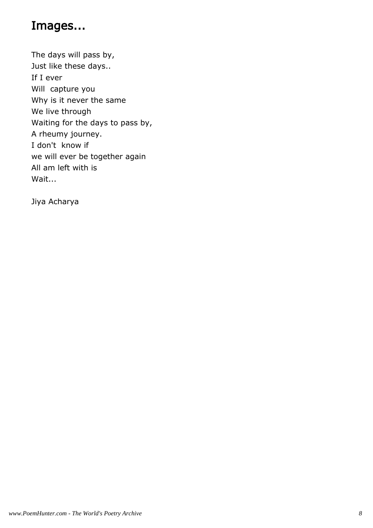#### Images...

The days will pass by, Just like these days.. If I ever Will capture you Why is it never the same We live through Waiting for the days to pass by, A rheumy journey. I don't know if we will ever be together again All am left with is Wait...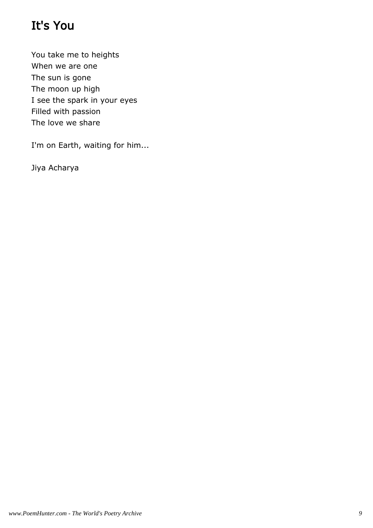# It's You

You take me to heights When we are one The sun is gone The moon up high I see the spark in your eyes Filled with passion The love we share

I'm on Earth, waiting for him...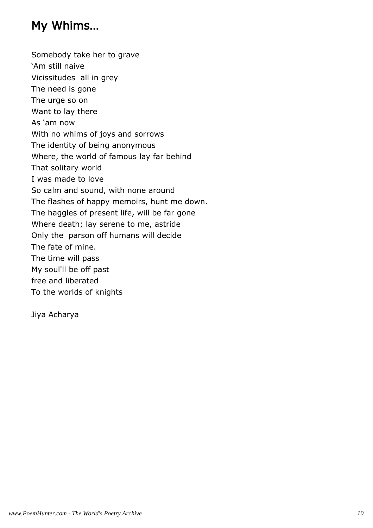### My Whims…

Somebody take her to grave 'Am still naive Vicissitudes all in grey The need is gone The urge so on Want to lay there As 'am now With no whims of joys and sorrows The identity of being anonymous Where, the world of famous lay far behind That solitary world I was made to love So calm and sound, with none around The flashes of happy memoirs, hunt me down. The haggles of present life, will be far gone Where death; lay serene to me, astride Only the parson off humans will decide The fate of mine. The time will pass My soul'll be off past free and liberated To the worlds of knights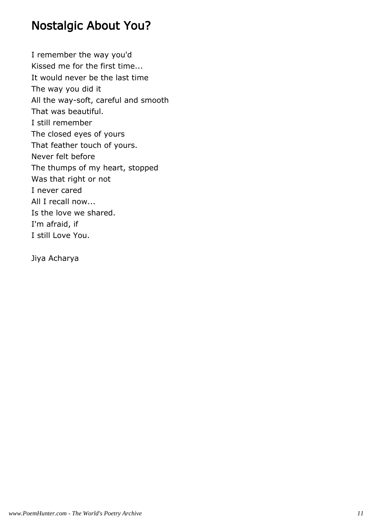#### Nostalgic About You?

I remember the way you'd Kissed me for the first time... It would never be the last time The way you did it All the way-soft, careful and smooth That was beautiful. I still remember The closed eyes of yours That feather touch of yours. Never felt before The thumps of my heart, stopped Was that right or not I never cared All I recall now... Is the love we shared. I'm afraid, if I still Love You.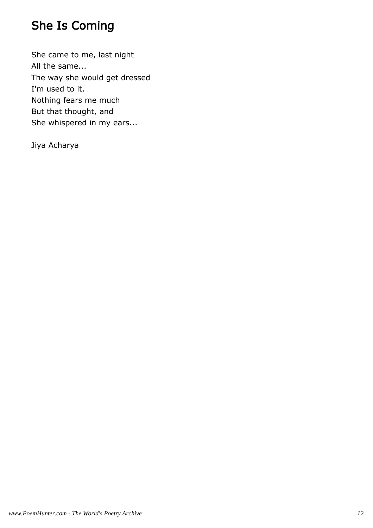## She Is Coming

She came to me, last night All the same... The way she would get dressed I'm used to it. Nothing fears me much But that thought, and She whispered in my ears...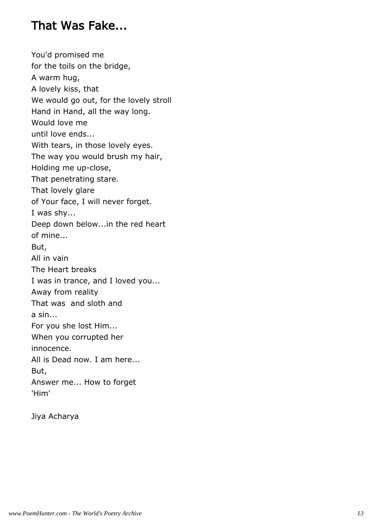#### That Was Fake...

You'd promised me for the toils on the bridge, A warm hug, A lovely kiss, that We would go out, for the lovely stroll Hand in Hand, all the way long. Would love me until love ends... With tears, in those lovely eyes. The way you would brush my hair, Holding me up-close, That penetrating stare. That lovely glare of Your face, I will never forget. I was shy... Deep down below...in the red heart of mine... But, All in vain The Heart breaks I was in trance, and I loved you... Away from reality That was and sloth and a sin... For you she lost Him... When you corrupted her innocence. All is Dead now. I am here... But, Answer me... How to forget 'Him'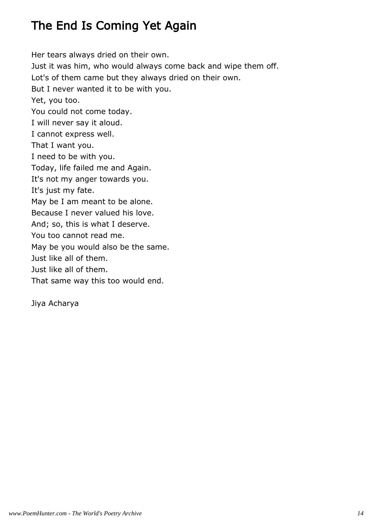# The End Is Coming Yet Again

Her tears always dried on their own. Just it was him, who would always come back and wipe them off. Lot's of them came but they always dried on their own. But I never wanted it to be with you. Yet, you too. You could not come today. I will never say it aloud. I cannot express well. That I want you. I need to be with you. Today, life failed me and Again. It's not my anger towards you. It's just my fate. May be I am meant to be alone. Because I never valued his love. And; so, this is what I deserve. You too cannot read me. May be you would also be the same. Just like all of them. Just like all of them. That same way this too would end.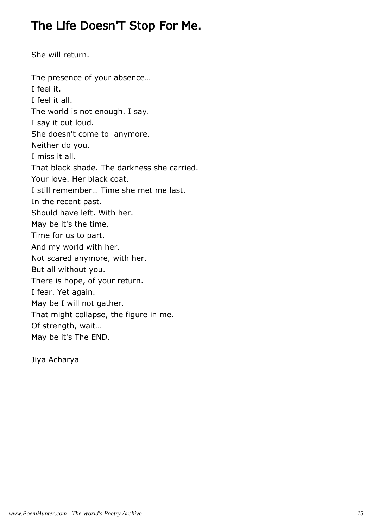#### The Life Doesn'T Stop For Me.

She will return.

The presence of your absence… I feel it. I feel it all. The world is not enough. I say. I say it out loud. She doesn't come to anymore. Neither do you. I miss it all. That black shade. The darkness she carried. Your love. Her black coat. I still remember… Time she met me last. In the recent past. Should have left. With her. May be it's the time. Time for us to part. And my world with her. Not scared anymore, with her. But all without you. There is hope, of your return. I fear. Yet again. May be I will not gather. That might collapse, the figure in me. Of strength, wait… May be it's The END.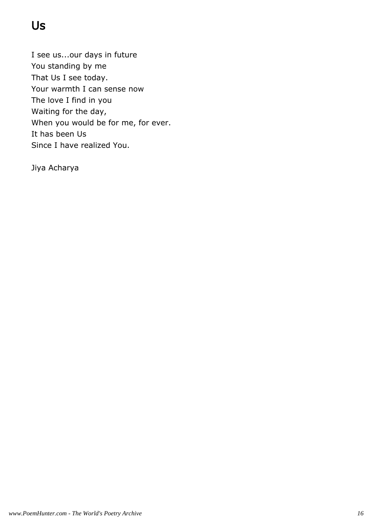# Us

I see us...our days in future You standing by me That Us I see today. Your warmth I can sense now The love I find in you Waiting for the day, When you would be for me, for ever. It has been Us Since I have realized You.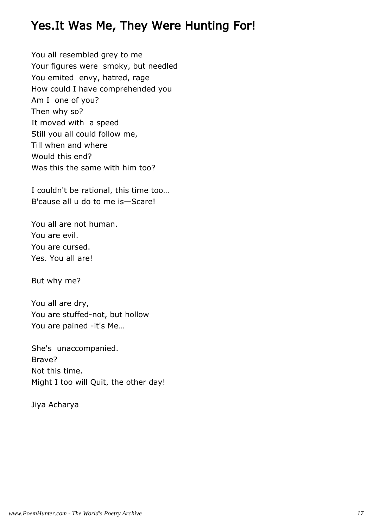#### Yes.It Was Me, They Were Hunting For!

You all resembled grey to me Your figures were smoky, but needled You emited envy, hatred, rage How could I have comprehended you Am I one of you? Then why so? It moved with a speed Still you all could follow me, Till when and where Would this end? Was this the same with him too?

I couldn't be rational, this time too… B'cause all u do to me is—Scare!

You all are not human. You are evil. You are cursed. Yes. You all are!

But why me?

You all are dry, You are stuffed-not, but hollow You are pained -it's Me…

She's unaccompanied. Brave? Not this time. Might I too will Quit, the other day!